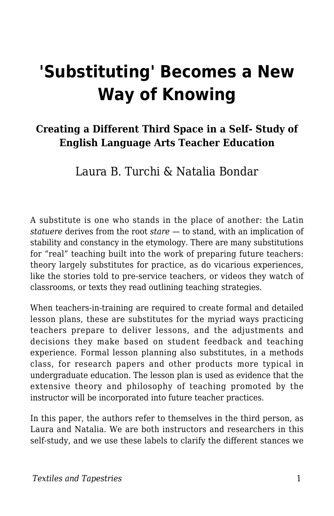# **'Substituting' Becomes a New Way of Knowing**

#### **Creating a Different Third Space in a Self- Study of English Language Arts Teacher Education**

#### Laura B. Turchi & Natalia Bondar

A substitute is one who stands in the place of another: the Latin *statuere* derives from the root *stare* — to stand, with an implication of stability and constancy in the etymology. There are many substitutions for "real" teaching built into the work of preparing future teachers: theory largely substitutes for practice, as do vicarious experiences, like the stories told to pre-service teachers, or videos they watch of classrooms, or texts they read outlining teaching strategies.

When teachers-in-training are required to create formal and detailed lesson plans, these are substitutes for the myriad ways practicing teachers prepare to deliver lessons, and the adjustments and decisions they make based on student feedback and teaching experience. Formal lesson planning also substitutes, in a methods class, for research papers and other products more typical in undergraduate education. The lesson plan is used as evidence that the extensive theory and philosophy of teaching promoted by the instructor will be incorporated into future teacher practices.

In this paper, the authors refer to themselves in the third person, as Laura and Natalia. We are both instructors and researchers in this self-study, and we use these labels to clarify the different stances we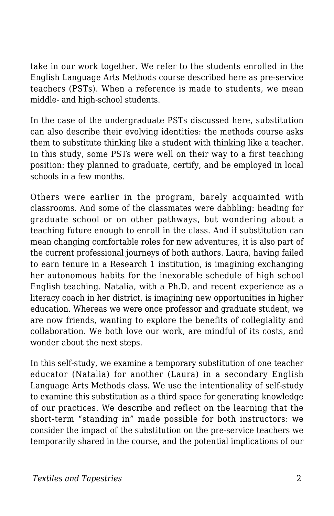take in our work together. We refer to the students enrolled in the English Language Arts Methods course described here as pre-service teachers (PSTs). When a reference is made to students, we mean middle- and high-school students.

In the case of the undergraduate PSTs discussed here, substitution can also describe their evolving identities: the methods course asks them to substitute thinking like a student with thinking like a teacher. In this study, some PSTs were well on their way to a first teaching position: they planned to graduate, certify, and be employed in local schools in a few months.

Others were earlier in the program, barely acquainted with classrooms. And some of the classmates were dabbling: heading for graduate school or on other pathways, but wondering about a teaching future enough to enroll in the class. And if substitution can mean changing comfortable roles for new adventures, it is also part of the current professional journeys of both authors. Laura, having failed to earn tenure in a Research 1 institution, is imagining exchanging her autonomous habits for the inexorable schedule of high school English teaching. Natalia, with a Ph.D. and recent experience as a literacy coach in her district, is imagining new opportunities in higher education. Whereas we were once professor and graduate student, we are now friends, wanting to explore the benefits of collegiality and collaboration. We both love our work, are mindful of its costs, and wonder about the next steps.

In this self-study, we examine a temporary substitution of one teacher educator (Natalia) for another (Laura) in a secondary English Language Arts Methods class. We use the intentionality of self-study to examine this substitution as a third space for generating knowledge of our practices. We describe and reflect on the learning that the short-term "standing in" made possible for both instructors: we consider the impact of the substitution on the pre-service teachers we temporarily shared in the course, and the potential implications of our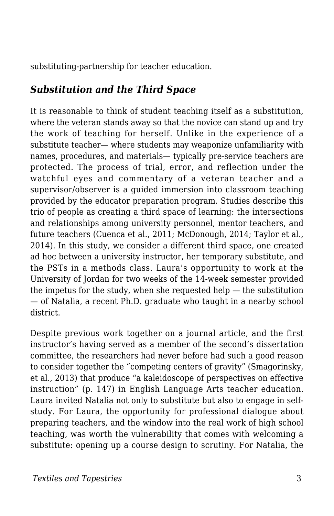substituting-partnership for teacher education.

#### *Substitution and the Third Space*

It is reasonable to think of student teaching itself as a substitution, where the veteran stands away so that the novice can stand up and try the work of teaching for herself. Unlike in the experience of a substitute teacher— where students may weaponize unfamiliarity with names, procedures, and materials— typically pre-service teachers are protected. The process of trial, error, and reflection under the watchful eyes and commentary of a veteran teacher and a supervisor/observer is a guided immersion into classroom teaching provided by the educator preparation program. Studies describe this trio of people as creating a third space of learning: the intersections and relationships among university personnel, mentor teachers, and future teachers (Cuenca et al., 2011; McDonough, 2014; Taylor et al., 2014). In this study, we consider a different third space, one created ad hoc between a university instructor, her temporary substitute, and the PSTs in a methods class. Laura's opportunity to work at the University of Jordan for two weeks of the 14-week semester provided the impetus for the study, when she requested help  $-$  the substitution — of Natalia, a recent Ph.D. graduate who taught in a nearby school district.

Despite previous work together on a journal article, and the first instructor's having served as a member of the second's dissertation committee, the researchers had never before had such a good reason to consider together the "competing centers of gravity" (Smagorinsky, et al., 2013) that produce "a kaleidoscope of perspectives on effective instruction" (p. 147) in English Language Arts teacher education. Laura invited Natalia not only to substitute but also to engage in selfstudy. For Laura, the opportunity for professional dialogue about preparing teachers, and the window into the real work of high school teaching, was worth the vulnerability that comes with welcoming a substitute: opening up a course design to scrutiny. For Natalia, the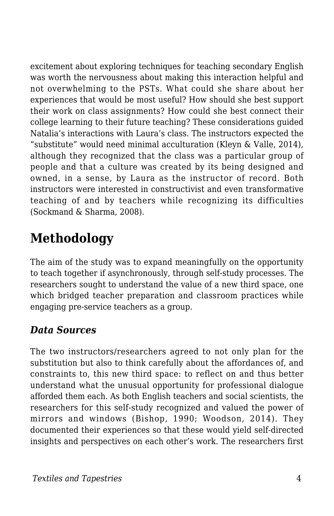excitement about exploring techniques for teaching secondary English was worth the nervousness about making this interaction helpful and not overwhelming to the PSTs. What could she share about her experiences that would be most useful? How should she best support their work on class assignments? How could she best connect their college learning to their future teaching? These considerations guided Natalia's interactions with Laura's class. The instructors expected the "substitute" would need minimal acculturation (Kleyn & Valle, 2014), although they recognized that the class was a particular group of people and that a culture was created by its being designed and owned, in a sense, by Laura as the instructor of record. Both instructors were interested in constructivist and even transformative teaching of and by teachers while recognizing its difficulties (Sockmand & Sharma, 2008).

### **Methodology**

The aim of the study was to expand meaningfully on the opportunity to teach together if asynchronously, through self-study processes. The researchers sought to understand the value of a new third space, one which bridged teacher preparation and classroom practices while engaging pre-service teachers as a group.

#### *Data Sources*

The two instructors/researchers agreed to not only plan for the substitution but also to think carefully about the affordances of, and constraints to, this new third space: to reflect on and thus better understand what the unusual opportunity for professional dialogue afforded them each. As both English teachers and social scientists, the researchers for this self-study recognized and valued the power of mirrors and windows (Bishop, 1990; Woodson, 2014). They documented their experiences so that these would yield self-directed insights and perspectives on each other's work. The researchers first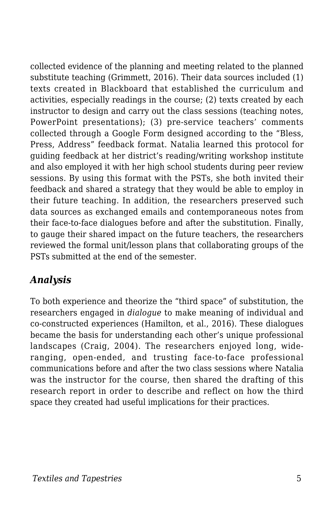collected evidence of the planning and meeting related to the planned substitute teaching (Grimmett, 2016). Their data sources included (1) texts created in Blackboard that established the curriculum and activities, especially readings in the course; (2) texts created by each instructor to design and carry out the class sessions (teaching notes, PowerPoint presentations); (3) pre-service teachers' comments collected through a Google Form designed according to the "Bless, Press, Address" feedback format. Natalia learned this protocol for guiding feedback at her district's reading/writing workshop institute and also employed it with her high school students during peer review sessions. By using this format with the PSTs, she both invited their feedback and shared a strategy that they would be able to employ in their future teaching. In addition, the researchers preserved such data sources as exchanged emails and contemporaneous notes from their face-to-face dialogues before and after the substitution. Finally, to gauge their shared impact on the future teachers, the researchers reviewed the formal unit/lesson plans that collaborating groups of the PSTs submitted at the end of the semester.

#### *Analysis*

To both experience and theorize the "third space" of substitution, the researchers engaged in *dialogue* to make meaning of individual and co-constructed experiences (Hamilton, et al., 2016). These dialogues became the basis for understanding each other's unique professional landscapes (Craig, 2004). The researchers enjoyed long, wideranging, open-ended, and trusting face-to-face professional communications before and after the two class sessions where Natalia was the instructor for the course, then shared the drafting of this research report in order to describe and reflect on how the third space they created had useful implications for their practices.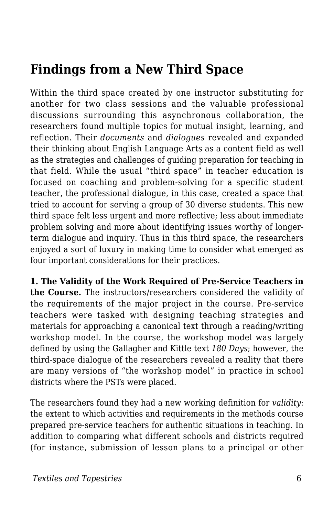### **Findings from a New Third Space**

Within the third space created by one instructor substituting for another for two class sessions and the valuable professional discussions surrounding this asynchronous collaboration, the researchers found multiple topics for mutual insight, learning, and reflection. Their *documents* and *dialogues* revealed and expanded their thinking about English Language Arts as a content field as well as the strategies and challenges of guiding preparation for teaching in that field. While the usual "third space" in teacher education is focused on coaching and problem-solving for a specific student teacher, the professional dialogue, in this case, created a space that tried to account for serving a group of 30 diverse students. This new third space felt less urgent and more reflective; less about immediate problem solving and more about identifying issues worthy of longerterm dialogue and inquiry. Thus in this third space, the researchers enjoyed a sort of luxury in making time to consider what emerged as four important considerations for their practices.

**1. The Validity of the Work Required of Pre-Service Teachers in the Course.** The instructors/researchers considered the validity of the requirements of the major project in the course. Pre-service teachers were tasked with designing teaching strategies and materials for approaching a canonical text through a reading/writing workshop model. In the course, the workshop model was largely defined by using the Gallagher and Kittle text *180 Days*; however, the third-space dialogue of the researchers revealed a reality that there are many versions of "the workshop model" in practice in school districts where the PSTs were placed.

The researchers found they had a new working definition for *validity*: the extent to which activities and requirements in the methods course prepared pre-service teachers for authentic situations in teaching. In addition to comparing what different schools and districts required (for instance, submission of lesson plans to a principal or other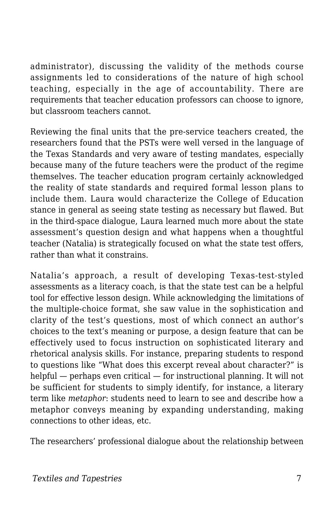administrator), discussing the validity of the methods course assignments led to considerations of the nature of high school teaching, especially in the age of accountability. There are requirements that teacher education professors can choose to ignore, but classroom teachers cannot.

Reviewing the final units that the pre-service teachers created, the researchers found that the PSTs were well versed in the language of the Texas Standards and very aware of testing mandates, especially because many of the future teachers were the product of the regime themselves. The teacher education program certainly acknowledged the reality of state standards and required formal lesson plans to include them. Laura would characterize the College of Education stance in general as seeing state testing as necessary but flawed. But in the third-space dialogue, Laura learned much more about the state assessment's question design and what happens when a thoughtful teacher (Natalia) is strategically focused on what the state test offers, rather than what it constrains.

Natalia's approach, a result of developing Texas-test-styled assessments as a literacy coach, is that the state test can be a helpful tool for effective lesson design. While acknowledging the limitations of the multiple-choice format, she saw value in the sophistication and clarity of the test's questions, most of which connect an author's choices to the text's meaning or purpose, a design feature that can be effectively used to focus instruction on sophisticated literary and rhetorical analysis skills. For instance, preparing students to respond to questions like "What does this excerpt reveal about character?" is helpful — perhaps even critical — for instructional planning. It will not be sufficient for students to simply identify, for instance, a literary term like *metaphor*: students need to learn to see and describe how a metaphor conveys meaning by expanding understanding, making connections to other ideas, etc.

The researchers' professional dialogue about the relationship between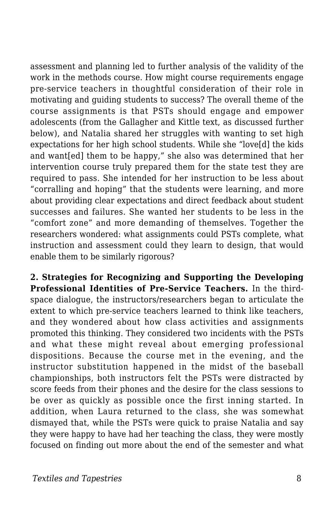assessment and planning led to further analysis of the validity of the work in the methods course. How might course requirements engage pre-service teachers in thoughtful consideration of their role in motivating and guiding students to success? The overall theme of the course assignments is that PSTs should engage and empower adolescents (from the Gallagher and Kittle text, as discussed further below), and Natalia shared her struggles with wanting to set high expectations for her high school students. While she "love[d] the kids and want[ed] them to be happy," she also was determined that her intervention course truly prepared them for the state test they are required to pass. She intended for her instruction to be less about "corralling and hoping" that the students were learning, and more about providing clear expectations and direct feedback about student successes and failures. She wanted her students to be less in the "comfort zone" and more demanding of themselves. Together the researchers wondered: what assignments could PSTs complete, what instruction and assessment could they learn to design, that would enable them to be similarly rigorous?

**2. Strategies for Recognizing and Supporting the Developing Professional Identities of Pre-Service Teachers.** In the thirdspace dialogue, the instructors/researchers began to articulate the extent to which pre-service teachers learned to think like teachers, and they wondered about how class activities and assignments promoted this thinking. They considered two incidents with the PSTs and what these might reveal about emerging professional dispositions. Because the course met in the evening, and the instructor substitution happened in the midst of the baseball championships, both instructors felt the PSTs were distracted by score feeds from their phones and the desire for the class sessions to be over as quickly as possible once the first inning started. In addition, when Laura returned to the class, she was somewhat dismayed that, while the PSTs were quick to praise Natalia and say they were happy to have had her teaching the class, they were mostly focused on finding out more about the end of the semester and what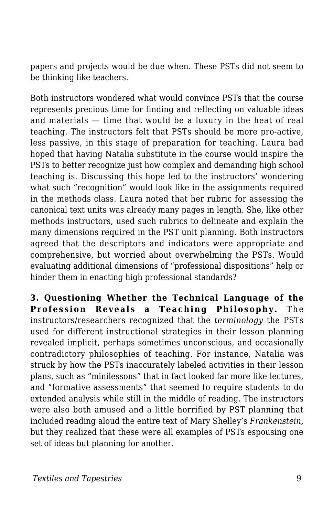papers and projects would be due when. These PSTs did not seem to be thinking like teachers.

Both instructors wondered what would convince PSTs that the course represents precious time for finding and reflecting on valuable ideas and materials — time that would be a luxury in the heat of real teaching. The instructors felt that PSTs should be more pro-active, less passive, in this stage of preparation for teaching. Laura had hoped that having Natalia substitute in the course would inspire the PSTs to better recognize just how complex and demanding high school teaching is. Discussing this hope led to the instructors' wondering what such "recognition" would look like in the assignments required in the methods class. Laura noted that her rubric for assessing the canonical text units was already many pages in length. She, like other methods instructors, used such rubrics to delineate and explain the many dimensions required in the PST unit planning. Both instructors agreed that the descriptors and indicators were appropriate and comprehensive, but worried about overwhelming the PSTs. Would evaluating additional dimensions of "professional dispositions" help or hinder them in enacting high professional standards?

**3. Questioning Whether the Technical Language of the Profession Reveals a Teaching Philosophy.** The instructors/researchers recognized that the *terminology* the PSTs used for different instructional strategies in their lesson planning revealed implicit, perhaps sometimes unconscious, and occasionally contradictory philosophies of teaching. For instance, Natalia was struck by how the PSTs inaccurately labeled activities in their lesson plans, such as "minilessons" that in fact looked far more like lectures, and "formative assessments" that seemed to require students to do extended analysis while still in the middle of reading. The instructors were also both amused and a little horrified by PST planning that included reading aloud the entire text of Mary Shelley's *Frankenstein*, but they realized that these were all examples of PSTs espousing one set of ideas but planning for another.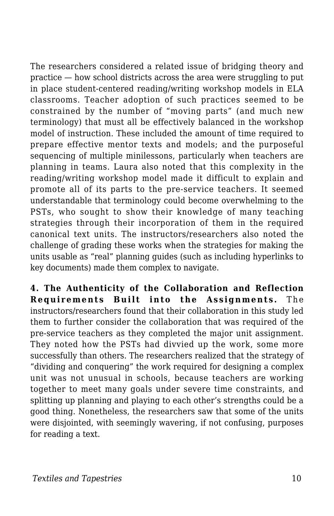The researchers considered a related issue of bridging theory and practice — how school districts across the area were struggling to put in place student-centered reading/writing workshop models in ELA classrooms. Teacher adoption of such practices seemed to be constrained by the number of "moving parts" (and much new terminology) that must all be effectively balanced in the workshop model of instruction. These included the amount of time required to prepare effective mentor texts and models; and the purposeful sequencing of multiple minilessons, particularly when teachers are planning in teams. Laura also noted that this complexity in the reading/writing workshop model made it difficult to explain and promote all of its parts to the pre-service teachers. It seemed understandable that terminology could become overwhelming to the PSTs, who sought to show their knowledge of many teaching strategies through their incorporation of them in the required canonical text units. The instructors/researchers also noted the challenge of grading these works when the strategies for making the units usable as "real" planning guides (such as including hyperlinks to key documents) made them complex to navigate.

**4. The Authenticity of the Collaboration and Reflection Requirements Built into the Assignments.** The instructors/researchers found that their collaboration in this study led them to further consider the collaboration that was required of the pre-service teachers as they completed the major unit assignment. They noted how the PSTs had divvied up the work, some more successfully than others. The researchers realized that the strategy of "dividing and conquering" the work required for designing a complex unit was not unusual in schools, because teachers are working together to meet many goals under severe time constraints, and splitting up planning and playing to each other's strengths could be a good thing. Nonetheless, the researchers saw that some of the units were disjointed, with seemingly wavering, if not confusing, purposes for reading a text.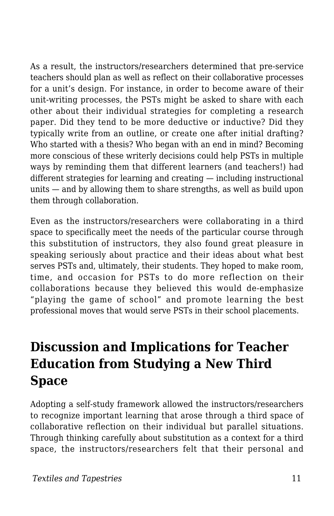As a result, the instructors/researchers determined that pre-service teachers should plan as well as reflect on their collaborative processes for a unit's design. For instance, in order to become aware of their unit-writing processes, the PSTs might be asked to share with each other about their individual strategies for completing a research paper. Did they tend to be more deductive or inductive? Did they typically write from an outline, or create one after initial drafting? Who started with a thesis? Who began with an end in mind? Becoming more conscious of these writerly decisions could help PSTs in multiple ways by reminding them that different learners (and teachers!) had different strategies for learning and creating — including instructional units — and by allowing them to share strengths, as well as build upon them through collaboration.

Even as the instructors/researchers were collaborating in a third space to specifically meet the needs of the particular course through this substitution of instructors, they also found great pleasure in speaking seriously about practice and their ideas about what best serves PSTs and, ultimately, their students. They hoped to make room, time, and occasion for PSTs to do more reflection on their collaborations because they believed this would de-emphasize "playing the game of school" and promote learning the best professional moves that would serve PSTs in their school placements.

## **Discussion and Implications for Teacher Education from Studying a New Third Space**

Adopting a self-study framework allowed the instructors/researchers to recognize important learning that arose through a third space of collaborative reflection on their individual but parallel situations. Through thinking carefully about substitution as a context for a third space, the instructors/researchers felt that their personal and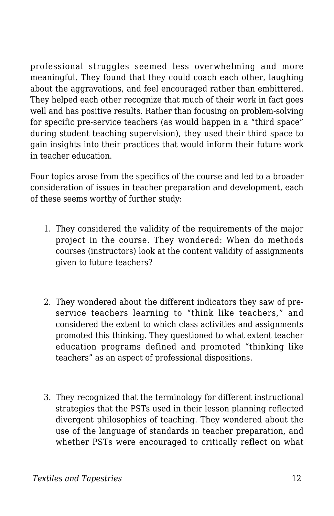professional struggles seemed less overwhelming and more meaningful. They found that they could coach each other, laughing about the aggravations, and feel encouraged rather than embittered. They helped each other recognize that much of their work in fact goes well and has positive results. Rather than focusing on problem-solving for specific pre-service teachers (as would happen in a "third space" during student teaching supervision), they used their third space to gain insights into their practices that would inform their future work in teacher education.

Four topics arose from the specifics of the course and led to a broader consideration of issues in teacher preparation and development, each of these seems worthy of further study:

- 1. They considered the validity of the requirements of the major project in the course. They wondered: When do methods courses (instructors) look at the content validity of assignments given to future teachers?
- 2. They wondered about the different indicators they saw of preservice teachers learning to "think like teachers," and considered the extent to which class activities and assignments promoted this thinking. They questioned to what extent teacher education programs defined and promoted "thinking like teachers" as an aspect of professional dispositions.
- 3. They recognized that the terminology for different instructional strategies that the PSTs used in their lesson planning reflected divergent philosophies of teaching. They wondered about the use of the language of standards in teacher preparation, and whether PSTs were encouraged to critically reflect on what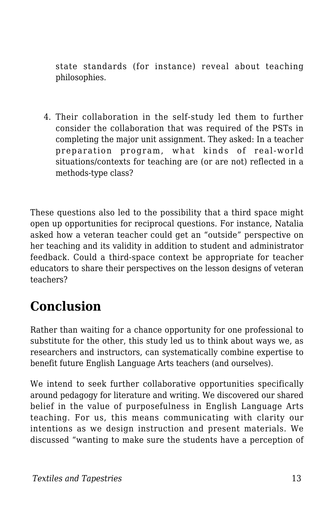state standards (for instance) reveal about teaching philosophies.

4. Their collaboration in the self-study led them to further consider the collaboration that was required of the PSTs in completing the major unit assignment. They asked: In a teacher preparation program, what kinds of real-world situations/contexts for teaching are (or are not) reflected in a methods-type class?

These questions also led to the possibility that a third space might open up opportunities for reciprocal questions. For instance, Natalia asked how a veteran teacher could get an "outside" perspective on her teaching and its validity in addition to student and administrator feedback. Could a third-space context be appropriate for teacher educators to share their perspectives on the lesson designs of veteran teachers?

### **Conclusion**

Rather than waiting for a chance opportunity for one professional to substitute for the other, this study led us to think about ways we, as researchers and instructors, can systematically combine expertise to benefit future English Language Arts teachers (and ourselves).

We intend to seek further collaborative opportunities specifically around pedagogy for literature and writing. We discovered our shared belief in the value of purposefulness in English Language Arts teaching. For us, this means communicating with clarity our intentions as we design instruction and present materials. We discussed "wanting to make sure the students have a perception of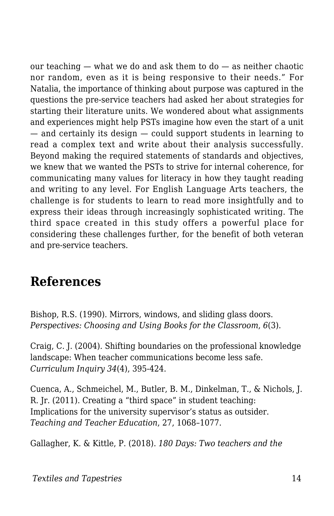our teaching — what we do and ask them to do — as neither chaotic nor random, even as it is being responsive to their needs." For Natalia, the importance of thinking about purpose was captured in the questions the pre-service teachers had asked her about strategies for starting their literature units. We wondered about what assignments and experiences might help PSTs imagine how even the start of a unit — and certainly its design — could support students in learning to read a complex text and write about their analysis successfully. Beyond making the required statements of standards and objectives, we knew that we wanted the PSTs to strive for internal coherence, for communicating many values for literacy in how they taught reading and writing to any level. For English Language Arts teachers, the challenge is for students to learn to read more insightfully and to express their ideas through increasingly sophisticated writing. The third space created in this study offers a powerful place for considering these challenges further, for the benefit of both veteran and pre-service teachers.

### **References**

Bishop, R.S. (1990). Mirrors, windows, and sliding glass doors. *Perspectives: Choosing and Using Books for the Classroom*, *6*(3).

Craig, C. J. (2004). Shifting boundaries on the professional knowledge landscape: When teacher communications become less safe. *Curriculum Inquiry 34*(4), 395-424.

Cuenca, A., Schmeichel, M., Butler, B. M., Dinkelman, T., & Nichols, J. R. Jr. (2011). Creating a "third space" in student teaching: Implications for the university supervisor's status as outsider. *Teaching and Teacher Education*, 27, 1068–1077.

Gallagher, K. & Kittle, P. (2018). *180 Days: Two teachers and the*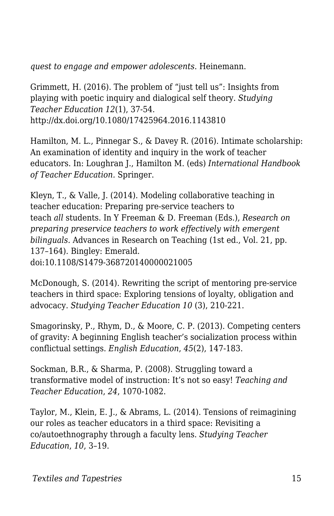*quest to engage and empower adolescents*. Heinemann.

Grimmett, H. (2016). The problem of "just tell us": Insights from playing with poetic inquiry and dialogical self theory. *Studying Teacher Education 12*(1), 37-54. http://dx.doi.org/10.1080/17425964.2016.1143810

Hamilton, M. L., Pinnegar S., & Davey R. (2016). Intimate scholarship: An examination of identity and inquiry in the work of teacher educators. In: Loughran J., Hamilton M. (eds) *International Handbook of Teacher Education.* Springer.

Kleyn, T., & Valle, J. (2014). Modeling collaborative teaching in teacher education: Preparing pre-service teachers to teach *all* students. In Y Freeman & D. Freeman (Eds.), *Research on preparing preservice teachers to work effectively with emergent bilinguals.* Advances in Research on Teaching (1st ed., Vol. 21, pp. 137–164). Bingley: Emerald. doi:10.1108/S1479-368720140000021005

McDonough, S. (2014). Rewriting the script of mentoring pre-service teachers in third space: Exploring tensions of loyalty, obligation and advocacy. *Studying Teacher Education 10* (3), 210-221.

Smagorinsky, P., Rhym, D., & Moore, C. P. (2013). Competing centers of gravity: A beginning English teacher's socialization process within conflictual settings. *English Education*, *45*(2), 147-183.

Sockman, B.R., & Sharma, P. (2008). Struggling toward a transformative model of instruction: It's not so easy! *Teaching and Teacher Education*, *24*, 1070-1082.

Taylor, M., Klein, E. J., & Abrams, L. (2014). Tensions of reimagining our roles as teacher educators in a third space: Revisiting a co/autoethnography through a faculty lens. *Studying Teacher Education*, *10*, 3–19.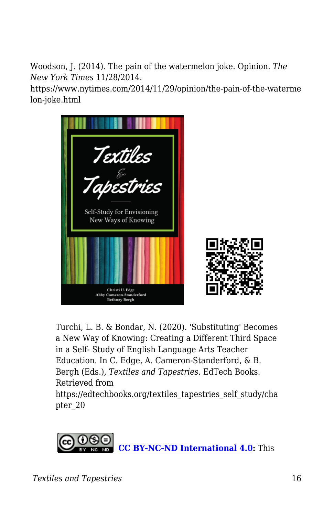Woodson, J. (2014). The pain of the watermelon joke. Opinion. *The New York Times* 11/28/2014.

https://www.nytimes.com/2014/11/29/opinion/the-pain-of-the-waterme lon-joke.html



Turchi, L. B. & Bondar, N. (2020). 'Substituting' Becomes a New Way of Knowing: Creating a Different Third Space in a Self- Study of English Language Arts Teacher Education. In C. Edge, A. Cameron-Standerford, & B. Bergh (Eds.), *Textiles and Tapestries*. EdTech Books. Retrieved from https://edtechbooks.org/textiles\_tapestries\_self\_study/cha pter\_20